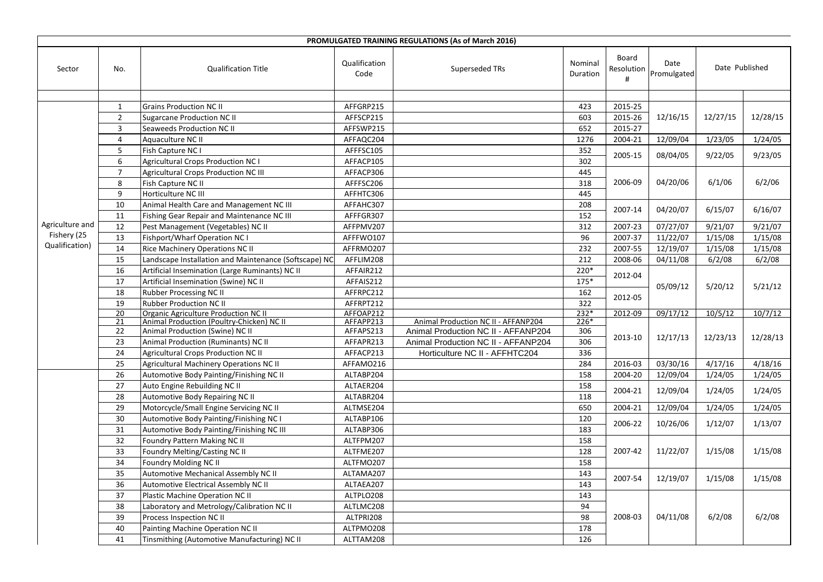| PROMULGATED TRAINING REGULATIONS (As of March 2016) |                       |                                                                                   |                        |                                     |                     |                          |                     |                |          |  |  |
|-----------------------------------------------------|-----------------------|-----------------------------------------------------------------------------------|------------------------|-------------------------------------|---------------------|--------------------------|---------------------|----------------|----------|--|--|
| Sector                                              | No.                   | <b>Qualification Title</b>                                                        | Qualification<br>Code  | Superseded TRs                      | Nominal<br>Duration | Board<br>Resolution<br># | Date<br>Promulgated | Date Published |          |  |  |
|                                                     |                       |                                                                                   |                        |                                     |                     |                          |                     |                |          |  |  |
|                                                     | $\mathbf{1}$          | <b>Grains Production NC II</b>                                                    | AFFGRP215              |                                     | 423                 | 2015-25                  |                     |                |          |  |  |
|                                                     | $\overline{2}$        | <b>Sugarcane Production NC II</b>                                                 | AFFSCP215              |                                     | 603                 | 2015-26                  | 12/16/15            | 12/27/15       | 12/28/15 |  |  |
|                                                     | $\overline{3}$        | Seaweeds Production NC II                                                         | AFFSWP215              |                                     | 652                 | 2015-27                  |                     |                |          |  |  |
|                                                     | $\overline{4}$        | Aquaculture NC II                                                                 | AFFAQC204              |                                     | 1276                | 2004-21                  | 12/09/04            | 1/23/05        | 1/24/05  |  |  |
|                                                     | 5                     | Fish Capture NC I                                                                 | AFFFSC105              |                                     | 352                 | 2005-15                  | 08/04/05            | 9/22/05        | 9/23/05  |  |  |
|                                                     | 6                     | <b>Agricultural Crops Production NC I</b>                                         | AFFACP105              |                                     | 302                 |                          |                     |                |          |  |  |
|                                                     | $\overline{7}$        | Agricultural Crops Production NC III                                              | AFFACP306              |                                     | 445                 |                          |                     |                |          |  |  |
|                                                     | 8                     | Fish Capture NC II                                                                | AFFFSC206              |                                     | 318                 | 2006-09                  | 04/20/06            | 6/1/06         | 6/2/06   |  |  |
|                                                     | 9                     | Horticulture NC III                                                               | AFFHTC306              |                                     | 445                 |                          |                     |                |          |  |  |
|                                                     | 10                    | Animal Health Care and Management NC III                                          | AFFAHC307              |                                     | 208                 | 2007-14                  | 04/20/07            | 6/15/07        | 6/16/07  |  |  |
|                                                     | 11                    | Fishing Gear Repair and Maintenance NC III                                        | AFFFGR307              |                                     | 152                 |                          |                     |                |          |  |  |
| Agriculture and                                     | 12                    | Pest Management (Vegetables) NC II                                                | AFFPMV207              |                                     | 312                 | 2007-23                  | 07/27/07            | 9/21/07        | 9/21/07  |  |  |
| Fishery (25                                         | 13                    | Fishport/Wharf Operation NC I                                                     | AFFFWO107              |                                     | 96                  | 2007-37                  | 11/22/07            | 1/15/08        | 1/15/08  |  |  |
| Qualification)                                      | 14                    | Rice Machinery Operations NC II                                                   | AFFRMO207              |                                     | 232                 | 2007-55                  | 12/19/07            | 1/15/08        | 1/15/08  |  |  |
|                                                     | 15                    | Landscape Installation and Maintenance (Softscape) NC                             | AFFLIM208              |                                     | 212                 | 2008-06                  | 04/11/08            | 6/2/08         | 6/2/08   |  |  |
|                                                     | 16                    | Artificial Insemination (Large Ruminants) NC II                                   | AFFAIR212              |                                     | 220*                | 2012-04                  |                     |                |          |  |  |
|                                                     | 17                    | Artificial Insemination (Swine) NC II                                             | AFFAIS212              |                                     | $175*$              |                          | 05/09/12            | 5/20/12        | 5/21/12  |  |  |
|                                                     | 18                    | Rubber Processing NC II                                                           | AFFRPC212              |                                     | 162                 | 2012-05                  |                     |                |          |  |  |
|                                                     | 19                    | Rubber Production NC II                                                           | AFFRPT212              |                                     | 322                 |                          |                     |                |          |  |  |
|                                                     | $\overline{20}$<br>21 | Organic Agriculture Production NC II<br>Animal Production (Poultry-Chicken) NC II | AFFOAP212<br>AFFAPP213 | Animal Production NC II - AFFANP204 | $232*$<br>$226*$    | 2012-09                  | 09/17/12            | 10/5/12        | 10/7/12  |  |  |
|                                                     | 22                    | Animal Production (Swine) NC II                                                   | AFFAPS213              | Animal Production NC II - AFFANP204 | 306                 |                          |                     |                | 12/28/13 |  |  |
|                                                     | 23                    | Animal Production (Ruminants) NC II                                               | AFFAPR213              | Animal Production NC II - AFFANP204 | 306                 | 2013-10                  | 12/17/13            | 12/23/13       |          |  |  |
|                                                     | $\overline{24}$       | <b>Agricultural Crops Production NC II</b>                                        | AFFACP213              | Horticulture NC II - AFFHTC204      | 336                 |                          |                     |                |          |  |  |
|                                                     | 25                    | Agricultural Machinery Operations NC II                                           | AFFAMO216              |                                     | 284                 | 2016-03                  | 03/30/16            | 4/17/16        | 4/18/16  |  |  |
|                                                     | 26                    | Automotive Body Painting/Finishing NC II                                          | ALTABP204              |                                     | 158                 | 2004-20                  | 12/09/04            | 1/24/05        | 1/24/05  |  |  |
|                                                     | 27                    | Auto Engine Rebuilding NC II                                                      | ALTAER204              |                                     | 158                 |                          |                     |                |          |  |  |
|                                                     | 28                    | Automotive Body Repairing NC II                                                   | ALTABR204              |                                     | 118                 | 2004-21                  | 12/09/04            | 1/24/05        | 1/24/05  |  |  |
|                                                     | 29                    | Motorcycle/Small Engine Servicing NC II                                           | ALTMSE204              |                                     | 650                 | 2004-21                  | 12/09/04            | 1/24/05        | 1/24/05  |  |  |
|                                                     | 30                    | Automotive Body Painting/Finishing NC I                                           | ALTABP106              |                                     | 120                 |                          |                     |                |          |  |  |
|                                                     | 31                    | Automotive Body Painting/Finishing NC III                                         | ALTABP306              |                                     | 183                 | 2006-22                  | 10/26/06            | 1/12/07        | 1/13/07  |  |  |
|                                                     | 32                    | Foundry Pattern Making NC II                                                      | ALTFPM207              |                                     | 158                 |                          |                     |                |          |  |  |
|                                                     | 33                    | Foundry Melting/Casting NC II                                                     | ALTFME207              |                                     | 128                 | 2007-42                  | 11/22/07            | 1/15/08        | 1/15/08  |  |  |
|                                                     | 34                    | Foundry Molding NC II                                                             | ALTFMO207              |                                     | 158                 |                          |                     |                |          |  |  |
|                                                     | 35                    | Automotive Mechanical Assembly NC II                                              | ALTAMA207              |                                     | 143                 | 2007-54                  |                     |                |          |  |  |
|                                                     | 36                    | Automotive Electrical Assembly NC II                                              | ALTAEA207              |                                     | 143                 |                          | 12/19/07            | 1/15/08        | 1/15/08  |  |  |
|                                                     | 37                    | Plastic Machine Operation NC II                                                   | ALTPLO208              |                                     | 143                 |                          |                     |                |          |  |  |
|                                                     | 38                    | Laboratory and Metrology/Calibration NC II                                        | ALTLMC208              |                                     | 94                  |                          |                     |                |          |  |  |
|                                                     | 39                    | Process Inspection NC II                                                          | ALTPRI208              |                                     | 98                  | 2008-03                  | 04/11/08            | 6/2/08         | 6/2/08   |  |  |
|                                                     | 40                    | Painting Machine Operation NC II                                                  | ALTPMO208              |                                     | 178                 |                          |                     |                |          |  |  |
|                                                     | 41                    | Tinsmithing (Automotive Manufacturing) NC II                                      | ALTTAM208              |                                     | 126                 |                          |                     |                |          |  |  |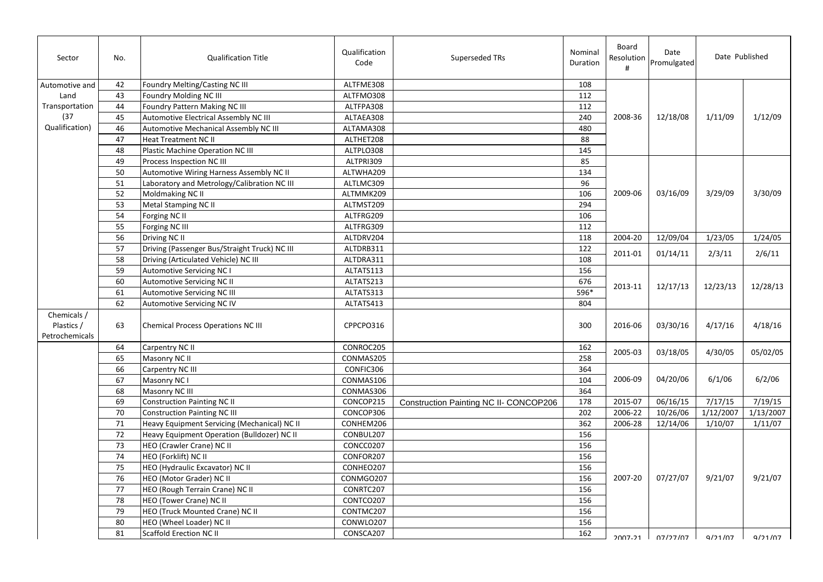| Sector                                      | No. | <b>Qualification Title</b>                    | Qualification<br>Code | Superseded TRs                         | Nominal<br>Duration | Board<br>Resolution<br># | Date<br>Promulgated | Date Published |           |
|---------------------------------------------|-----|-----------------------------------------------|-----------------------|----------------------------------------|---------------------|--------------------------|---------------------|----------------|-----------|
| Automotive and                              | 42  | Foundry Melting/Casting NC III                | ALTFME308             |                                        | 108                 |                          |                     |                |           |
| Land                                        | 43  | Foundry Molding NC III                        | ALTFMO308             |                                        | 112                 |                          |                     |                |           |
| Transportation                              | 44  | Foundry Pattern Making NC III                 | ALTFPA308             |                                        | 112                 |                          | 12/18/08            | 1/11/09        |           |
| (37)                                        | 45  | Automotive Electrical Assembly NC III         | ALTAEA308             |                                        | 240                 | 2008-36                  |                     |                | 1/12/09   |
| Qualification)                              | 46  | Automotive Mechanical Assembly NC III         | ALTAMA308             |                                        | 480                 |                          |                     |                |           |
|                                             | 47  | <b>Heat Treatment NC II</b>                   | ALTHET208             |                                        | 88                  |                          |                     |                |           |
|                                             | 48  | Plastic Machine Operation NC III              | ALTPLO308             |                                        | 145                 |                          |                     |                |           |
|                                             | 49  | Process Inspection NC III                     | ALTPRI309             |                                        | 85                  |                          |                     |                |           |
|                                             | 50  | Automotive Wiring Harness Assembly NC II      | ALTWHA209             |                                        | 134                 |                          |                     |                |           |
|                                             | 51  | Laboratory and Metrology/Calibration NC III   | ALTLMC309             |                                        | 96                  |                          |                     | 3/29/09        |           |
|                                             | 52  | Moldmaking NC II                              | ALTMMK209             |                                        | 106                 | 2009-06                  | 03/16/09            |                | 3/30/09   |
|                                             | 53  | Metal Stamping NC II                          | ALTMST209             |                                        | 294                 |                          |                     |                |           |
|                                             | 54  | Forging NC II                                 | ALTFRG209             |                                        | 106                 |                          |                     |                |           |
|                                             | 55  | Forging NC III                                | ALTFRG309             |                                        | 112                 |                          |                     |                |           |
|                                             | 56  | Driving NC II                                 | ALTDRV204             |                                        | 118                 | 2004-20                  | 12/09/04            | 1/23/05        | 1/24/05   |
|                                             | 57  | Driving (Passenger Bus/Straight Truck) NC III | ALTDRB311             |                                        | 122                 | 2011-01                  |                     |                |           |
|                                             | 58  | Driving (Articulated Vehicle) NC III          | ALTDRA311             |                                        | 108                 |                          | 01/14/11            | 2/3/11         | 2/6/11    |
|                                             | 59  | <b>Automotive Servicing NC I</b>              | ALTATS113             |                                        | 156                 |                          |                     |                |           |
|                                             | 60  | Automotive Servicing NC II                    | ALTATS213             |                                        | 676                 | 2013-11                  | 12/17/13            | 12/23/13       |           |
|                                             | 61  | Automotive Servicing NC III                   | ALTATS313             |                                        | 596*                |                          |                     |                | 12/28/13  |
|                                             | 62  | Automotive Servicing NC IV                    | ALTATS413             |                                        | 804                 |                          |                     |                |           |
| Chemicals /<br>Plastics /<br>Petrochemicals | 63  | <b>Chemical Process Operations NC III</b>     | CPPCPO316             |                                        | 300                 | 2016-06                  | 03/30/16            | 4/17/16        | 4/18/16   |
|                                             | 64  | Carpentry NC II                               | CONROC205             |                                        | 162                 | 2005-03                  | 03/18/05            | 4/30/05        | 05/02/05  |
|                                             | 65  | Masonry NC II                                 | CONMAS205             |                                        | 258                 |                          |                     |                |           |
|                                             | 66  | Carpentry NC III                              | CONFIC306             |                                        | 364                 |                          |                     |                |           |
|                                             | 67  | Masonry NC I                                  | CONMAS106             |                                        | 104                 | 2006-09                  | 04/20/06            | 6/1/06         | 6/2/06    |
|                                             | 68  | Masonry NC III                                | CONMAS306             |                                        | 364                 |                          |                     |                |           |
|                                             | 69  | <b>Construction Painting NC II</b>            | CONCOP215             | Construction Painting NC II- CONCOP206 | 178                 | 2015-07                  | 06/16/15            | 7/17/15        | 7/19/15   |
|                                             | 70  | <b>Construction Painting NC III</b>           | CONCOP306             |                                        | 202                 | 2006-22                  | 10/26/06            | 1/12/2007      | 1/13/2007 |
|                                             | 71  | Heavy Equipment Servicing (Mechanical) NC II  | CONHEM206             |                                        | 362                 | 2006-28                  | 12/14/06            | 1/10/07        | 1/11/07   |
|                                             | 72  | Heavy Equipment Operation (Bulldozer) NC II   | CONBUL207             |                                        | 156                 |                          |                     |                |           |
|                                             | 73  | HEO (Crawler Crane) NC II                     | CONCC0207             |                                        | 156                 |                          |                     |                |           |
|                                             | 74  | HEO (Forklift) NC II                          | CONFOR207             |                                        | 156                 |                          |                     |                |           |
|                                             | 75  | HEO (Hydraulic Excavator) NC II               | CONHEO207             |                                        | 156                 |                          |                     |                |           |
|                                             | 76  | HEO (Motor Grader) NC II                      | CONMGO207             |                                        | 156                 | 2007-20                  | 07/27/07            | 9/21/07        | 9/21/07   |
|                                             | 77  | HEO (Rough Terrain Crane) NC II               | CONRTC207             |                                        | 156                 |                          |                     |                |           |
|                                             | 78  | HEO (Tower Crane) NC II                       | CONTCO207             |                                        | 156                 |                          |                     |                |           |
|                                             | 79  | HEO (Truck Mounted Crane) NC II               | CONTMC207             |                                        | 156                 |                          |                     |                |           |
|                                             | 80  | HEO (Wheel Loader) NC II                      | CONWLO207             |                                        | 156                 |                          |                     |                |           |
|                                             | 81  | Scaffold Erection NC II                       | CONSCA207             |                                        | 162                 | $2007-21$                | <u>ا 17/27/07</u>   | 9/21/07        | 9/21/07   |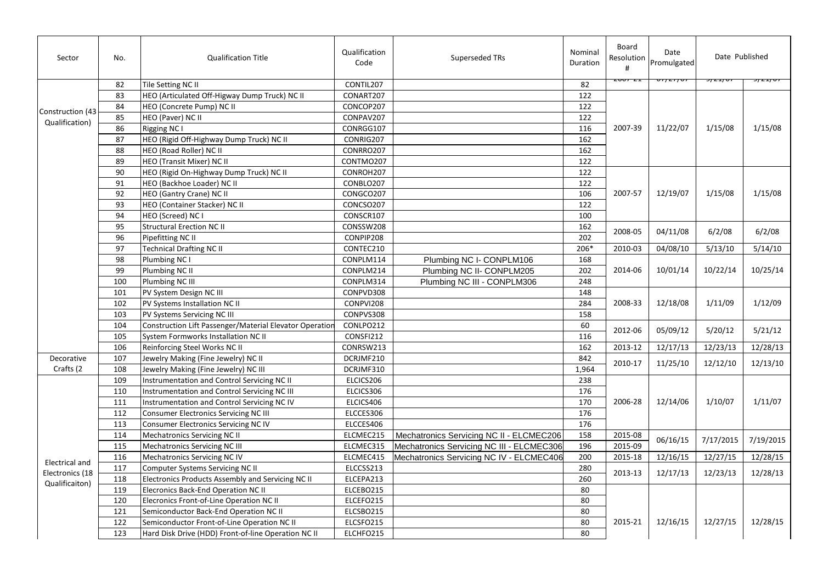| Sector                            | No. | <b>Qualification Title</b>                              | Qualification<br>Code | Superseded TRs                            | Nominal<br>Duration | Board<br>Resolution<br># | Date<br>Promulgated | Date Published |            |
|-----------------------------------|-----|---------------------------------------------------------|-----------------------|-------------------------------------------|---------------------|--------------------------|---------------------|----------------|------------|
|                                   | 82  | Tile Setting NC II                                      | CONTIL207             |                                           | 82                  |                          |                     | 77 Z I J V     | 77 Z I / V |
|                                   | 83  | HEO (Articulated Off-Higway Dump Truck) NC II           | CONART207             |                                           | $\overline{122}$    |                          |                     |                |            |
|                                   | 84  | HEO (Concrete Pump) NC II                               | CONCOP207             |                                           | 122                 |                          |                     |                |            |
| Construction (43                  | 85  | HEO (Paver) NC II                                       | CONPAV207             |                                           | 122                 |                          |                     |                |            |
| Qualification)                    | 86  | <b>Rigging NC I</b>                                     | CONRGG107             |                                           | 116                 | 2007-39                  | 11/22/07            | 1/15/08        | 1/15/08    |
|                                   | 87  | HEO (Rigid Off-Highway Dump Truck) NC II                | CONRIG207             |                                           | 162                 |                          |                     |                |            |
|                                   | 88  | HEO (Road Roller) NC II                                 | CONRRO207             |                                           | 162                 |                          |                     |                |            |
|                                   | 89  | HEO (Transit Mixer) NC II                               | CONTMO207             |                                           | 122                 |                          |                     |                |            |
|                                   | 90  | HEO (Rigid On-Highway Dump Truck) NC II                 | CONROH207             |                                           | 122                 |                          |                     |                |            |
|                                   | 91  | HEO (Backhoe Loader) NC II                              | CONBLO207             |                                           | 122                 |                          |                     |                |            |
|                                   | 92  | HEO (Gantry Crane) NC II                                | CONGCO207             |                                           | 106                 | 2007-57                  | 12/19/07            | 1/15/08        | 1/15/08    |
|                                   | 93  | HEO (Container Stacker) NC II                           | CONCSO207             |                                           | 122                 |                          |                     |                |            |
|                                   | 94  | HEO (Screed) NC I                                       | CONSCR107             |                                           | 100                 |                          |                     |                |            |
|                                   | 95  | <b>Structural Erection NC II</b>                        | CONSSW208             |                                           | 162                 |                          |                     |                |            |
|                                   | 96  | Pipefitting NC II                                       | CONPIP208             |                                           | 202                 | 2008-05                  | 04/11/08            | 6/2/08         | 6/2/08     |
|                                   | 97  | <b>Technical Drafting NC II</b>                         | CONTEC210             |                                           | 206*                | 2010-03                  | 04/08/10            | 5/13/10        | 5/14/10    |
|                                   | 98  | Plumbing NC I                                           | CONPLM114             | Plumbing NC I- CONPLM106                  | 168                 |                          |                     |                |            |
|                                   | 99  | Plumbing NC II                                          | CONPLM214             | Plumbing NC II- CONPLM205                 | 202                 | 2014-06                  | 10/01/14            | 10/22/14       | 10/25/14   |
|                                   | 100 | Plumbing NC III                                         | CONPLM314             | Plumbing NC III - CONPLM306               | 248                 |                          |                     |                |            |
|                                   | 101 | PV System Design NC III                                 | CONPVD308             |                                           | 148                 |                          |                     |                |            |
|                                   | 102 | PV Systems Installation NC II                           | CONPVI208             |                                           | 284                 | 2008-33                  | 12/18/08            | 1/11/09        | 1/12/09    |
|                                   | 103 | PV Systems Servicing NC III                             | CONPVS308             |                                           | 158                 |                          |                     |                |            |
|                                   | 104 | Construction Lift Passenger/Material Elevator Operatior | CONLPO212             |                                           | 60                  | 2012-06                  |                     |                |            |
|                                   | 105 | System Formworks Installation NC II                     | CONSFI212             |                                           | 116                 |                          | 05/09/12            | 5/20/12        | 5/21/12    |
|                                   | 106 | Reinforcing Steel Works NC II                           | CONRSW213             |                                           | 162                 | 2013-12                  | 12/17/13            | 12/23/13       | 12/28/13   |
| Decorative                        | 107 | Jewelry Making (Fine Jewelry) NC II                     | DCRJMF210             |                                           | 842                 |                          |                     |                |            |
| Crafts (2                         | 108 | Jewelry Making (Fine Jewelry) NC III                    | DCRJMF310             |                                           | 1,964               | 2010-17                  | 11/25/10            | 12/12/10       | 12/13/10   |
|                                   | 109 | Instrumentation and Control Servicing NC II             | ELCICS206             |                                           | 238                 |                          |                     |                |            |
|                                   | 110 | Instrumentation and Control Servicing NC III            | ELCICS306             |                                           | 176                 |                          |                     |                |            |
|                                   | 111 | Instrumentation and Control Servicing NC IV             | ELCICS406             |                                           | 170                 | 2006-28                  | 12/14/06            | 1/10/07        | 1/11/07    |
|                                   | 112 | Consumer Electronics Servicing NC III                   | ELCCES306             |                                           | 176                 |                          |                     |                |            |
|                                   | 113 | Consumer Electronics Servicing NC IV                    | ELCCES406             |                                           | 176                 |                          |                     |                |            |
|                                   | 114 | Mechatronics Servicing NC II                            | ELCMEC215             | Mechatronics Servicing NC II - ELCMEC206  | 158                 | 2015-08                  |                     |                |            |
|                                   | 115 | Mechatronics Servicing NC III                           | ELCMEC315             | Mechatronics Servicing NC III - ELCMEC306 | 196                 | 2015-09                  | 06/16/15            | 7/17/2015      | 7/19/2015  |
|                                   | 116 | Mechatronics Servicing NC IV                            | ELCMEC415             | Mechatronics Servicing NC IV - ELCMEC406  | 200                 | 2015-18                  | 12/16/15            | 12/27/15       | 12/28/15   |
| Electrical and<br>Electronics (18 | 117 | Computer Systems Servicing NC II                        | ELCCSS213             |                                           | 280                 |                          |                     |                |            |
|                                   | 118 | Electronics Products Assembly and Servicing NC II       | ELCEPA213             |                                           | 260                 | 2013-13                  | 12/17/13            | 12/23/13       | 12/28/13   |
| Qualificaiton)                    | 119 | Elecronics Back-End Operation NC II                     | ELCEBO215             |                                           | 80                  |                          |                     |                |            |
|                                   | 120 | Elecronics Front-of-Line Operation NC II                | ELCEFO215             |                                           | 80                  |                          |                     |                |            |
|                                   | 121 | Semiconductor Back-End Operation NC II                  | ELCSBO215             |                                           | 80                  |                          |                     |                |            |
|                                   | 122 | Semiconductor Front-of-Line Operation NC II             | ELCSFO215             |                                           | 80                  | 2015-21                  | 12/16/15            | 12/27/15       | 12/28/15   |
|                                   | 123 | Hard Disk Drive (HDD) Front-of-line Operation NC II     | ELCHFO215             |                                           | 80                  |                          |                     |                |            |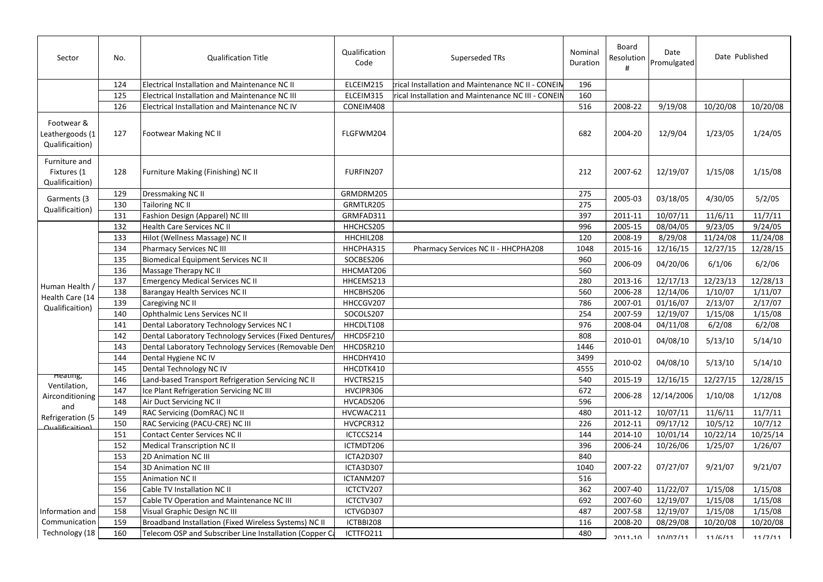| Sector                                           | No. | <b>Qualification Title</b>                              | Qualification<br>Code | Superseded TRs                                     | Nominal<br><b>Duration</b> | Board<br>Resolution<br># | Date<br>Promulgated | Date Published |          |
|--------------------------------------------------|-----|---------------------------------------------------------|-----------------------|----------------------------------------------------|----------------------------|--------------------------|---------------------|----------------|----------|
|                                                  | 124 | Electrical Installation and Maintenance NC II           | ELCEIM215             | trical Installation and Maintenance NC II - CONEIN | 196                        |                          |                     |                |          |
|                                                  | 125 | Electrical Installation and Maintenance NC III          | ELCEIM315             | rical Installation and Maintenance NC III - CONEIN | 160                        |                          |                     |                |          |
|                                                  | 126 | Electrical Installation and Maintenance NC IV           | CONEIM408             |                                                    | 516                        | 2008-22                  | 9/19/08             | 10/20/08       | 10/20/08 |
| Footwear &<br>Leathergoods (1<br>Qualificaition) | 127 | Footwear Making NC II                                   | FLGFWM204             |                                                    | 682                        | 2004-20                  | 12/9/04             | 1/23/05        | 1/24/05  |
| Furniture and<br>Fixtures (1<br>Qualificaition)  | 128 | Furniture Making (Finishing) NC II                      | FURFIN207             |                                                    | 212                        | 2007-62                  | 12/19/07            | 1/15/08        | 1/15/08  |
| Garments (3                                      | 129 | Dressmaking NC II                                       | GRMDRM205             |                                                    | 275                        | 2005-03                  | 03/18/05            | 4/30/05        | 5/2/05   |
| Qualificaition)                                  | 130 | Tailoring NC II                                         | GRMTLR205             |                                                    | 275                        |                          |                     |                |          |
|                                                  | 131 | Fashion Design (Apparel) NC III                         | GRMFAD311             |                                                    | 397                        | 2011-11                  | 10/07/11            | 11/6/11        | 11/7/11  |
|                                                  | 132 | Health Care Services NC II                              | HHCHCS205             |                                                    | 996                        | 2005-15                  | 08/04/05            | 9/23/05        | 9/24/05  |
|                                                  | 133 | Hilot (Wellness Massage) NC II                          | HHCHIL208             |                                                    | 120                        | 2008-19                  | 8/29/08             | 11/24/08       | 11/24/08 |
|                                                  | 134 | <b>Pharmacy Services NC III</b>                         | HHCPHA315             | Pharmacy Services NC II - HHCPHA208                | 1048                       | 2015-16                  | 12/16/15            | 12/27/15       | 12/28/15 |
|                                                  | 135 | <b>Biomedical Equipment Services NC II</b>              | SOCBES206             |                                                    | 960                        | 2006-09                  | 04/20/06            | 6/1/06         | 6/2/06   |
|                                                  | 136 | Massage Therapy NC II                                   | HHCMAT206             |                                                    | 560                        |                          |                     |                |          |
|                                                  | 137 | <b>Emergency Medical Services NC II</b>                 | HHCEMS213             |                                                    | 280                        | 2013-16                  | 12/17/13            | 12/23/13       | 12/28/13 |
| Human Health /<br>Health Care (14                | 138 | Barangay Health Services NC II                          | HHCBHS206             |                                                    | 560                        | 2006-28                  | 12/14/06            | 1/10/07        | 1/11/07  |
| Qualificaition)                                  | 139 | Caregiving NC II                                        | HHCCGV207             |                                                    | 786                        | 2007-01                  | 01/16/07            | 2/13/07        | 2/17/07  |
|                                                  | 140 | Ophthalmic Lens Services NC II                          | SOCOLS207             |                                                    | 254                        | 2007-59                  | 12/19/07            | 1/15/08        | 1/15/08  |
|                                                  | 141 | Dental Laboratory Technology Services NC I              | HHCDLT108             |                                                    | 976                        | 2008-04                  | 04/11/08            | 6/2/08         | 6/2/08   |
|                                                  | 142 | Dental Laboratory Technology Services (Fixed Dentures,  | HHCDSF210             |                                                    | 808                        | 2010-01                  | 04/08/10            | 5/13/10        | 5/14/10  |
|                                                  | 143 | Dental Laboratory Technology Services (Removable Den    | HHCDSR210             |                                                    | 1446                       |                          |                     |                |          |
|                                                  | 144 | Dental Hygiene NC IV                                    | HHCDHY410             |                                                    | 3499                       | 2010-02                  | 04/08/10            | 5/13/10        | 5/14/10  |
|                                                  | 145 | Dental Technology NC IV                                 | HHCDTK410             |                                                    | 4555                       |                          |                     |                |          |
| neating,                                         | 146 | Land-based Transport Refrigeration Servicing NC II      | HVCTRS215             |                                                    | 540                        | 2015-19                  | 12/16/15            | 12/27/15       | 12/28/15 |
| Ventilation,                                     | 147 | Ice Plant Refrigeration Servicing NC III                | HVCIPR306             |                                                    | 672                        | 2006-28                  | 12/14/2006          | 1/10/08        | 1/12/08  |
| Airconditioning<br>and                           | 148 | Air Duct Servicing NC II                                | HVCADS206             |                                                    | 596                        |                          |                     |                |          |
| Refrigeration (5                                 | 149 | RAC Servicing (DomRAC) NC II                            | HVCWAC211             |                                                    | 480                        | 2011-12                  | 10/07/11            | 11/6/11        | 11/7/11  |
| <u> Auglificaition)</u>                          | 150 | RAC Servicing (PACU-CRE) NC III                         | HVCPCR312             |                                                    | 226                        | 2012-11                  | 09/17/12            | 10/5/12        | 10/7/12  |
|                                                  | 151 | Contact Center Services NC II                           | ICTCCS214             |                                                    | 144                        | 2014-10                  | 10/01/14            | 10/22/14       | 10/25/14 |
|                                                  | 152 | <b>Medical Transcription NC II</b>                      | ICTMDT206             |                                                    | 396                        | 2006-24                  | 10/26/06            | 1/25/07        | 1/26/07  |
|                                                  | 153 | 2D Animation NC III                                     | ICTA2D307             |                                                    | 840                        |                          |                     |                |          |
|                                                  | 154 | <b>3D Animation NC III</b>                              | ICTA3D307             |                                                    | 1040                       | 2007-22                  | 07/27/07            | 9/21/07        | 9/21/07  |
|                                                  | 155 | Animation NC II                                         | ICTANM207             |                                                    | 516                        |                          |                     |                |          |
|                                                  | 156 | Cable TV Installation NC II                             | ICTCTV207             |                                                    | 362                        | 2007-40                  | 11/22/07            | 1/15/08        | 1/15/08  |
|                                                  | 157 | Cable TV Operation and Maintenance NC III               | ICTCTV307             |                                                    | 692                        | 2007-60                  | 12/19/07            | 1/15/08        | 1/15/08  |
| Information and                                  | 158 | Visual Graphic Design NC III                            | ICTVGD307             |                                                    | 487                        | 2007-58                  | 12/19/07            | 1/15/08        | 1/15/08  |
| Communication                                    | 159 | Broadband Installation (Fixed Wireless Systems) NC II   | ICTBBI208             |                                                    | 116                        | 2008-20                  | 08/29/08            | 10/20/08       | 10/20/08 |
| Technology (18                                   | 160 | Telecom OSP and Subscriber Line Installation (Copper Ca | ICTTFO211             |                                                    | 480                        | $2011 - 10$              | 10/07/11            | 11/6/11        | 11/7/11  |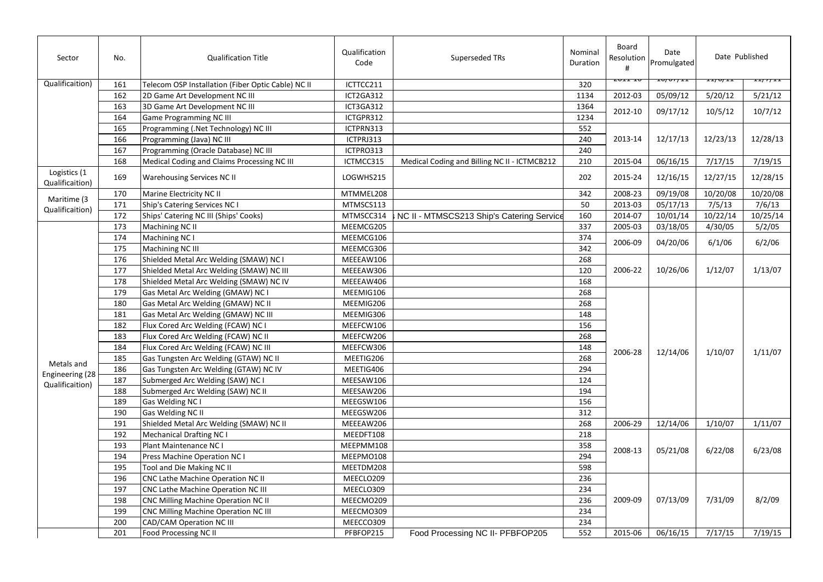| Sector                          | No. | <b>Qualification Title</b>                         | Qualification<br>Code | Superseded TRs                               | Nominal<br>Duration | Board<br>Resolution<br># | Date<br>Promulgated | Date Published<br>ェエノ ロノ エエ<br>-- <i>111</i> -- |          |
|---------------------------------|-----|----------------------------------------------------|-----------------------|----------------------------------------------|---------------------|--------------------------|---------------------|-------------------------------------------------|----------|
| Qualificaition)                 | 161 | Telecom OSP Installation (Fiber Optic Cable) NC II | ICTTCC211             |                                              | 320                 |                          |                     |                                                 |          |
|                                 | 162 | 2D Game Art Development NC III                     | ICT2GA312             |                                              | 1134                | 2012-03                  | 05/09/12            | 5/20/12                                         | 5/21/12  |
|                                 | 163 | 3D Game Art Development NC III                     | ICT3GA312             |                                              | 1364                | 2012-10                  | 09/17/12            | 10/5/12                                         | 10/7/12  |
|                                 | 164 | Game Programming NC III                            | ICTGPR312             |                                              | 1234                |                          |                     |                                                 |          |
|                                 | 165 | Programming (.Net Technology) NC III               | ICTPRN313             |                                              | 552                 |                          |                     |                                                 |          |
|                                 | 166 | Programming (Java) NC III                          | ICTPRJ313             |                                              | 240                 | 2013-14                  | 12/17/13            | 12/23/13                                        | 12/28/13 |
|                                 | 167 | Programming (Oracle Database) NC III               | ICTPRO313             |                                              | 240                 |                          |                     |                                                 |          |
|                                 | 168 | Medical Coding and Claims Processing NC III        | ICTMCC315             | Medical Coding and Billing NC II - ICTMCB212 | 210                 | 2015-04                  | 06/16/15            | 7/17/15                                         | 7/19/15  |
| Logistics (1<br>Qualificaition) | 169 | Warehousing Services NC II                         | LOGWHS215             |                                              | 202                 | 2015-24                  | 12/16/15            | 12/27/15                                        | 12/28/15 |
|                                 | 170 | Marine Electricity NC II                           | MTMMEL208             |                                              | 342                 | 2008-23                  | 09/19/08            | 10/20/08                                        | 10/20/08 |
| Maritime (3<br>Qualificaition)  | 171 | Ship's Catering Services NC I                      | MTMSCS113             |                                              | 50                  | 2013-03                  | 05/17/13            | 7/5/13                                          | 7/6/13   |
|                                 | 172 | Ships' Catering NC III (Ships' Cooks)              | MTMSCC314             | NC II - MTMSCS213 Ship's Catering Service    | 160                 | 2014-07                  | 10/01/14            | 10/22/14                                        | 10/25/14 |
|                                 | 173 | Machining NC II                                    | MEEMCG205             |                                              | 337                 | 2005-03                  | 03/18/05            | 4/30/05                                         | 5/2/05   |
|                                 | 174 | Machining NC I                                     | MEEMCG106             |                                              | 374                 |                          |                     | 6/1/06                                          | 6/2/06   |
|                                 | 175 | Machining NC III                                   | MEEMCG306             |                                              | 342                 | 2006-09                  | 04/20/06            |                                                 |          |
|                                 | 176 | Shielded Metal Arc Welding (SMAW) NC I             | MEEEAW106             |                                              | 268                 |                          |                     | 1/12/07                                         |          |
|                                 | 177 | Shielded Metal Arc Welding (SMAW) NC III           | MEEEAW306             |                                              | 120                 | 2006-22                  | 10/26/06            |                                                 | 1/13/07  |
|                                 | 178 | Shielded Metal Arc Welding (SMAW) NC IV            | MEEEAW406             |                                              | 168                 |                          |                     |                                                 |          |
|                                 | 179 | Gas Metal Arc Welding (GMAW) NC I                  | MEEMIG106             |                                              | 268                 |                          |                     |                                                 |          |
|                                 | 180 | Gas Metal Arc Welding (GMAW) NC II                 | MEEMIG206             |                                              | 268                 |                          |                     |                                                 |          |
|                                 | 181 | Gas Metal Arc Welding (GMAW) NC III                | MEEMIG306             |                                              | 148                 |                          |                     |                                                 |          |
|                                 | 182 | Flux Cored Arc Welding (FCAW) NC I                 | MEEFCW106             |                                              | 156                 |                          |                     |                                                 |          |
|                                 | 183 | Flux Cored Arc Welding (FCAW) NC II                | MEEFCW206             |                                              | 268                 |                          |                     |                                                 |          |
|                                 | 184 | Flux Cored Arc Welding (FCAW) NC III               | MEEFCW306             |                                              | 148                 |                          |                     | 1/10/07                                         |          |
|                                 | 185 | Gas Tungsten Arc Welding (GTAW) NC II              | MEETIG206             |                                              | 268                 | 2006-28                  | 12/14/06            |                                                 | 1/11/07  |
| Metals and                      | 186 | Gas Tungsten Arc Welding (GTAW) NC IV              | MEETIG406             |                                              | 294                 |                          |                     |                                                 |          |
| Engineering (28                 | 187 | Submerged Arc Welding (SAW) NC I                   | MEESAW106             |                                              | 124                 |                          |                     |                                                 |          |
| Qualificaition)                 | 188 | Submerged Arc Welding (SAW) NC II                  | MEESAW206             |                                              | 194                 |                          |                     |                                                 |          |
|                                 | 189 | Gas Welding NC I                                   | MEEGSW106             |                                              | 156                 |                          |                     |                                                 |          |
|                                 | 190 | Gas Welding NC II                                  | MEEGSW206             |                                              | 312                 |                          |                     |                                                 |          |
|                                 | 191 | Shielded Metal Arc Welding (SMAW) NC II            | MEEEAW206             |                                              | 268                 | 2006-29                  | 12/14/06            | 1/10/07                                         | 1/11/07  |
|                                 | 192 | <b>Mechanical Drafting NC I</b>                    | MEEDFT108             |                                              | 218                 |                          |                     |                                                 |          |
|                                 | 193 | Plant Maintenance NC I                             | MEEPMM108             |                                              | 358                 |                          |                     |                                                 |          |
|                                 | 194 | Press Machine Operation NC I                       | MEEPMO108             |                                              | 294                 | 2008-13                  | 05/21/08            | 6/22/08                                         | 6/23/08  |
|                                 | 195 | Tool and Die Making NC II                          | MEETDM208             |                                              | 598                 |                          |                     |                                                 |          |
|                                 | 196 | CNC Lathe Machine Operation NC II                  | MEECLO209             |                                              | 236                 |                          |                     |                                                 |          |
|                                 | 197 | CNC Lathe Machine Operation NC III                 | MEECLO309             |                                              | 234                 |                          |                     |                                                 |          |
|                                 | 198 | <b>CNC Milling Machine Operation NC II</b>         | MEECMO209             |                                              | 236                 | 2009-09                  | 07/13/09            | 7/31/09                                         | 8/2/09   |
|                                 | 199 | CNC Milling Machine Operation NC III               | MEECMO309             |                                              | 234                 |                          |                     |                                                 |          |
|                                 | 200 | CAD/CAM Operation NC III                           | MEECCO309             |                                              | 234                 |                          |                     |                                                 |          |
|                                 | 201 | Food Processing NC II                              | PFBFOP215             | Food Processing NC II- PFBFOP205             | 552                 | 2015-06                  | 06/16/15            | 7/17/15                                         | 7/19/15  |
|                                 |     |                                                    |                       |                                              |                     |                          |                     |                                                 |          |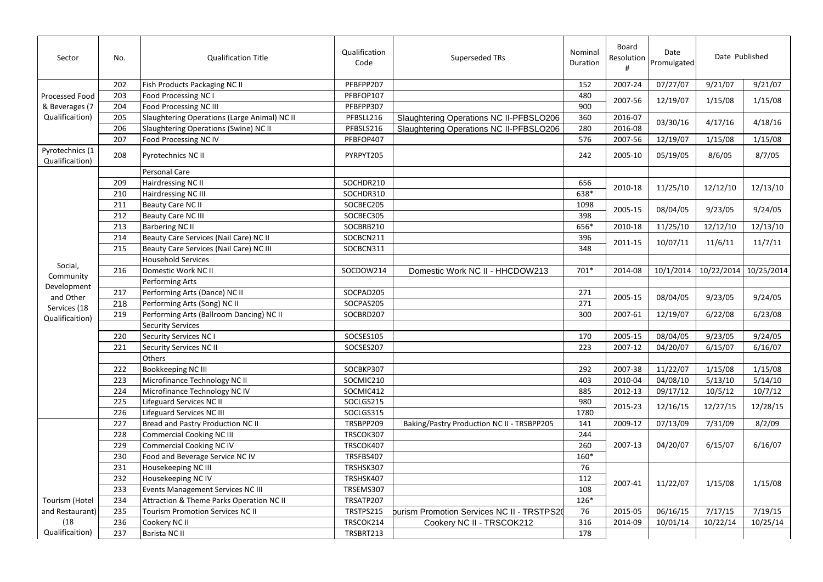| Sector                             | No. | <b>Qualification Title</b>                   | Qualification<br>Code | Superseded TRs                             | Nominal<br>Duration | Board<br>Resolution<br># | Date<br>Promulgated | Date Published                  |          |
|------------------------------------|-----|----------------------------------------------|-----------------------|--------------------------------------------|---------------------|--------------------------|---------------------|---------------------------------|----------|
|                                    | 202 | Fish Products Packaging NC II                | PFBFPP207             |                                            | 152                 | 2007-24                  | 07/27/07            | 9/21/07                         | 9/21/07  |
| Processed Food                     | 203 | Food Processing NC I                         | PFBFOP107             |                                            | 480                 |                          |                     |                                 |          |
| & Beverages (7                     | 204 | Food Processing NC III                       | PFBFPP307             |                                            | 900                 | 2007-56                  | 12/19/07            | 1/15/08                         | 1/15/08  |
| Qualificaition)                    | 205 | Slaughtering Operations (Large Animal) NC II | PFBSLL216             | Slaughtering Operations NC II-PFBSLO206    | 360                 | 2016-07                  |                     |                                 |          |
|                                    | 206 | Slaughtering Operations (Swine) NC II        | PFBSLS216             | Slaughtering Operations NC II-PFBSLO206    | 280                 | 2016-08                  | 03/30/16            | 4/17/16                         | 4/18/16  |
|                                    | 207 | Food Processing NC IV                        | PFBFOP407             |                                            | 576                 | 2007-56                  | 12/19/07            | 1/15/08                         | 1/15/08  |
| Pyrotechnics (1<br>Qualificaition) | 208 | Pyrotechnics NC II                           | PYRPYT205             |                                            | 242                 | 2005-10                  | 05/19/05            | 8/6/05                          | 8/7/05   |
|                                    |     | Personal Care                                |                       |                                            |                     |                          |                     |                                 |          |
|                                    | 209 | Hairdressing NC II                           | SOCHDR210             |                                            | 656                 |                          |                     |                                 |          |
|                                    | 210 | Hairdressing NC III                          | SOCHDR310             |                                            | 638*                | 2010-18                  | 11/25/10            | 12/12/10                        | 12/13/10 |
|                                    | 211 | Beauty Care NC II                            | SOCBEC205             |                                            | 1098                |                          |                     |                                 |          |
|                                    | 212 | <b>Beauty Care NC III</b>                    | SOCBEC305             |                                            | 398                 | 2005-15                  | 08/04/05            | 9/23/05                         | 9/24/05  |
|                                    | 213 | <b>Barbering NC II</b>                       | SOCBRB210             |                                            | 656*                | 2010-18                  | 11/25/10            | 12/12/10                        | 12/13/10 |
|                                    | 214 | Beauty Care Services (Nail Care) NC II       | SOCBCN211             |                                            | 396                 |                          | 10/07/11            |                                 | 11/7/11  |
|                                    | 215 | Beauty Care Services (Nail Care) NC III      | SOCBCN311             |                                            | 348                 | 2011-15                  |                     | 11/6/11                         |          |
|                                    |     | <b>Household Services</b>                    |                       |                                            |                     |                          |                     |                                 |          |
| Social,                            | 216 | Domestic Work NC II                          | SOCDOW214             | Domestic Work NC II - HHCDOW213            | $701*$              | 2014-08                  |                     | 10/1/2014 10/22/2014 10/25/2014 |          |
| Community                          |     | Performing Arts                              |                       |                                            |                     |                          |                     |                                 |          |
| Development<br>and Other           | 217 | Performing Arts (Dance) NC II                | SOCPAD205             |                                            | 271                 |                          |                     |                                 |          |
| Services (18                       | 218 | Performing Arts (Song) NC II                 | SOCPAS205             |                                            | 271                 | 2005-15                  | 08/04/05            | 9/23/05                         | 9/24/05  |
| Qualificaition)                    | 219 | Performing Arts (Ballroom Dancing) NC II     | SOCBRD207             |                                            | 300                 | 2007-61                  | 12/19/07            | 6/22/08                         | 6/23/08  |
|                                    |     | <b>Security Services</b>                     |                       |                                            |                     |                          |                     |                                 |          |
|                                    | 220 | Security Services NC I                       | SOCSES105             |                                            | 170                 | 2005-15                  | 08/04/05            | 9/23/05                         | 9/24/05  |
|                                    | 221 | <b>Security Services NC II</b>               | SOCSES207             |                                            | 223                 | 2007-12                  | 04/20/07            | 6/15/07                         | 6/16/07  |
|                                    |     | Others                                       |                       |                                            |                     |                          |                     |                                 |          |
|                                    | 222 | Bookkeeping NC III                           | SOCBKP307             |                                            | 292                 | 2007-38                  | 11/22/07            | 1/15/08                         | 1/15/08  |
|                                    | 223 | Microfinance Technology NC II                | SOCMIC210             |                                            | 403                 | 2010-04                  | 04/08/10            | 5/13/10                         | 5/14/10  |
|                                    | 224 | Microfinance Technology NC IV                | SOCMIC412             |                                            | 885                 | 2012-13                  | 09/17/12            | 10/5/12                         | 10/7/12  |
|                                    | 225 | Lifeguard Services NC II                     | SOCLGS215             |                                            | 980                 | 2015-23                  | 12/16/15            | 12/27/15                        | 12/28/15 |
|                                    | 226 | Lifeguard Services NC III                    | SOCLGS315             |                                            | 1780                |                          |                     |                                 |          |
|                                    | 227 | Bread and Pastry Production NC II            | TRSBPP209             | Baking/Pastry Production NC II - TRSBPP205 | 141                 | 2009-12                  | 07/13/09            | 7/31/09                         | 8/2/09   |
|                                    | 228 | <b>Commercial Cooking NC III</b>             | TRSCOK307             |                                            | 244                 |                          |                     |                                 |          |
|                                    | 229 | Commercial Cooking NC IV                     | TRSCOK407             |                                            | 260                 | 2007-13                  | 04/20/07            | 6/15/07                         | 6/16/07  |
|                                    | 230 | Food and Beverage Service NC IV              | TRSFBS407             |                                            | 160*                |                          |                     |                                 |          |
|                                    | 231 | Housekeeping NC III                          | TRSHSK307             |                                            | 76                  |                          |                     |                                 |          |
|                                    | 232 | Housekeeping NC IV                           | TRSHSK407             |                                            | 112                 | 2007-41                  | 11/22/07            |                                 |          |
|                                    | 233 | Events Management Services NC III            | TRSEMS307             |                                            | 108                 |                          |                     | 1/15/08                         | 1/15/08  |
| <b>Tourism (Hotel</b>              | 234 | Attraction & Theme Parks Operation NC II     | TRSATP207             |                                            | $126*$              |                          |                     |                                 |          |
| and Restaurant)                    | 235 | <b>Tourism Promotion Services NC II</b>      | TRSTPS215             | burism Promotion Services NC II - TRSTPS2  | 76                  | 2015-05                  | 06/16/15            | 7/17/15                         | 7/19/15  |
| (18)                               | 236 | Cookery NC II                                | TRSCOK214             | Cookery NC II - TRSCOK212                  | 316                 | 2014-09                  | 10/01/14            | 10/22/14                        | 10/25/14 |
| Qualificaition)                    | 237 | Barista NC II                                | TRSBRT213             |                                            | 178                 |                          |                     |                                 |          |